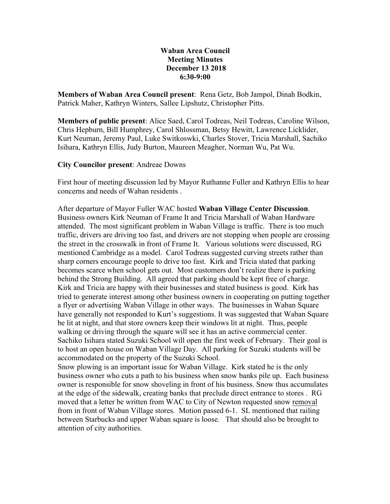## **Waban Area Council Meeting Minutes December 13 2018 6:30-9:00**

**Members of Waban Area Council present**: Rena Getz, Bob Jampol, Dinah Bodkin, Patrick Maher, Kathryn Winters, Sallee Lipshutz, Christopher Pitts.

**Members of public present**: Alice Saed, Carol Todreas, Neil Todreas, Caroline Wilson, Chris Hepburn, Bill Humphrey, Carol Shlossman, Betsy Hewitt, Lawrence Licklider, Kurt Neuman, Jeremy Paul, Luke Switkoswki, Charles Stover, Tricia Marshall, Sachiko Isihara, Kathryn Ellis, Judy Burton, Maureen Meagher, Norman Wu, Pat Wu.

## **City Councilor present**: Andreae Downs

First hour of meeting discussion led by Mayor Ruthanne Fuller and Kathryn Ellis to hear concerns and needs of Waban residents .

After departure of Mayor Fuller WAC hosted **Waban Village Center Discussion**. Business owners Kirk Neuman of Frame It and Tricia Marshall of Waban Hardware attended. The most significant problem in Waban Village is traffic. There is too much traffic, drivers are driving too fast, and drivers are not stopping when people are crossing the street in the crosswalk in front of Frame It. Various solutions were discussed, RG mentioned Cambridge as a model. Carol Todreas suggested curving streets rather than sharp corners encourage people to drive too fast. Kirk and Tricia stated that parking becomes scarce when school gets out. Most customers don't realize there is parking behind the Strong Building. All agreed that parking should be kept free of charge. Kirk and Tricia are happy with their businesses and stated business is good. Kirk has tried to generate interest among other business owners in cooperating on putting together a flyer or advertising Waban Village in other ways. The businesses in Waban Square have generally not responded to Kurt's suggestions. It was suggested that Waban Square be lit at night, and that store owners keep their windows lit at night. Thus, people walking or driving through the square will see it has an active commercial center. Sachiko Isihara stated Suzuki School will open the first week of February. Their goal is to host an open house on Waban Village Day. All parking for Suzuki students will be accommodated on the property of the Suzuki School.

Snow plowing is an important issue for Waban Village. Kirk stated he is the only business owner who cuts a path to his business when snow banks pile up. Each business owner is responsible for snow shoveling in front of his business. Snow thus accumulates at the edge of the sidewalk, creating banks that preclude direct entrance to stores . RG moved that a letter be written from WAC to City of Newton requested snow removal from in front of Waban Village stores. Motion passed 6-1. SL mentioned that railing between Starbucks and upper Waban square is loose. That should also be brought to attention of city authorities.